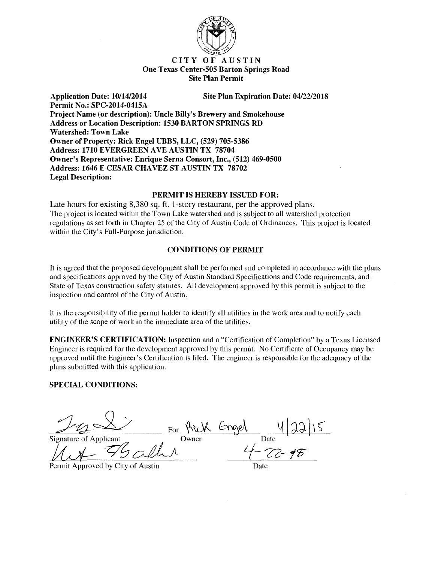

## CITY OF AUSTIN One Texas Center-505 Barton Springs Road Site Plan Permit

Site Plan Expiration Date: 04/22/2018

Permit No.: SPC-2014-0415A Project Name (or description): Uncle Billy's Brewery and Smokehouse Address or Location Description: 1530 BARTON SPRINGS RD Watershed: Town Lake Owner of Property: Rick Engel UBBS, LLC, (529) 705-5386 Address: 1710 EVERGREEN AVE AUSTIN TX 78704 Owner's Representative: Enrique Serna Consort, Inc., (512) 469-0500 Address: 1646 E CESAR CHAVEZ ST AUSTIN TX 78702 Legal Description:

## PERMIT IS HEREBY ISSUED FOR:

Late hours for existing 8,380 sq. ft. 1-story restaurant, per the approved plans. The project is located within the Town Lake watershed and is subject to all watershed protection regulations as set forth in Chapter 25 of the City of Austin Code of Ordinances. This project is located within the City's Full-Purpose jurisdiction.

## CONDITIONS OF PERMIT

It is agreed that the proposed development shall be performed and completed in accordance with the plans and specifications approved by the City of Austin Standard Specifications and Code requirements, and State of Texas construction safety statutes. All development approved by this permit is subject to the inspection and control of the City of Austin.

It is the responsibility of the permit holder to identify all utilities in the work area and to notify each utility of the scope of work in the immediate area of the utilities.

ENGINEER'S CERTIFICATION: Inspection and a "Certification of Completion" by a Texas Licensed Engineer is required for the development approved by this permit. No Certificate of Occupancy may be approved until the Engineer's Certification is filed. The engineer is responsible for the adequacy of the plans submitted with this application.

## SPECIAL CONDITIONS:

Application Date: 10/14/2014

Transfer For Air Longel 422/15 Signature of Applicant Owner Date Date Date  $\mathcal{U}$ <br> $\mathcal{U}$   $\mathcal{U}$   $\mathcal{U}$   $\mathcal{U}$   $\mathcal{U}$   $\mathcal{U}$   $\mathcal{U}$   $\mathcal{U}$   $\mathcal{U}$   $\mathcal{U}$   $\mathcal{U}$   $\mathcal{U}$   $\mathcal{U}$   $\mathcal{U}$   $\mathcal{U}$   $\mathcal{U}$   $\mathcal{U}$   $\mathcal{U}$   $\mathcal{U$ 

Permit Approved by City of Austin Date